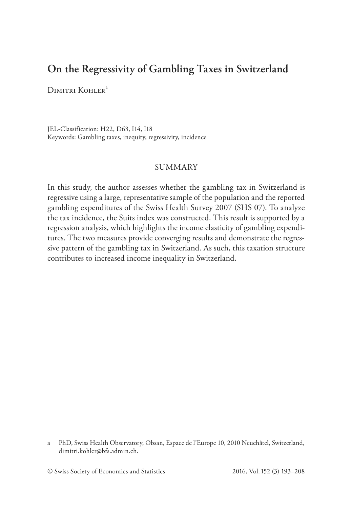# **On the Regressivity of Gambling Taxes in Switzerland**

Dimitri Kohler<sup>a</sup>

JEL-Classification: H22, D63, I14, I18 Keywords: Gambling taxes, inequity, regressivity, incidence

### SUMMARY

In this study, the author assesses whether the gambling tax in Switzerland is regressive using a large, representative sample of the population and the reported gambling expenditures of the Swiss Health Survey 2007 (SHS 07). To analyze the tax incidence, the Suits index was constructed. This result is supported by a regression analysis, which highlights the income elasticity of gambling expenditures. The two measures provide converging results and demonstrate the regressive pattern of the gambling tax in Switzerland. As such, this taxation structure contributes to increased income inequality in Switzerland.

a PhD, Swiss Health Observatory, Obsan, Espace de l'Europe 10, 2010 Neuchâtel, Switzerland, dimitri.kohler@bfs.admin.ch.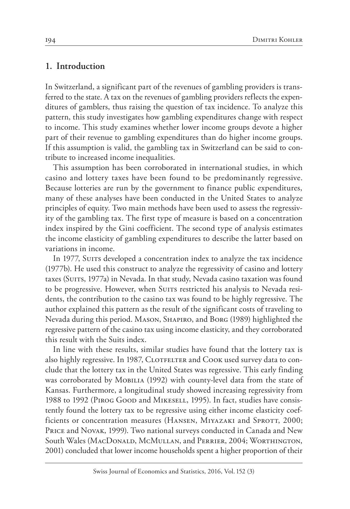### **1. Introduction**

In Switzerland, a significant part of the revenues of gambling providers is transferred to the state. A tax on the revenues of gambling providers reflects the expenditures of gamblers, thus raising the question of tax incidence. To analyze this pattern, this study investigates how gambling expenditures change with respect to income. This study examines whether lower income groups devote a higher part of their revenue to gambling expenditures than do higher income groups. If this assumption is valid, the gambling tax in Switzerland can be said to contribute to increased income inequalities.

This assumption has been corroborated in international studies, in which casino and lottery taxes have been found to be predominantly regressive. Because lotteries are run by the government to finance public expenditures, many of these analyses have been conducted in the United States to analyze principles of equity. Two main methods have been used to assess the regressivity of the gambling tax. The first type of measure is based on a concentration index inspired by the Gini coefficient. The second type of analysis estimates the income elasticity of gambling expenditures to describe the latter based on variations in income.

In 1977, Suits developed a concentration index to analyze the tax incidence (1977b). He used this construct to analyze the regressivity of casino and lottery taxes (Suits, 1977a) in Nevada. In that study, Nevada casino taxation was found to be progressive. However, when Suits restricted his analysis to Nevada residents, the contribution to the casino tax was found to be highly regressive. The author explained this pattern as the result of the significant costs of traveling to Nevada during this period. Mason, Shapiro, and Borg (1989) highlighted the regressive pattern of the casino tax using income elasticity, and they corroborated this result with the Suits index.

In line with these results, similar studies have found that the lottery tax is also highly regressive. In 1987, CLOTFELTER and COOK used survey data to conclude that the lottery tax in the United States was regressive. This early finding was corroborated by MOBILIA (1992) with county-level data from the state of Kansas. Furthermore, a longitudinal study showed increasing regressivity from 1988 to 1992 (Pirog Good and Mikesell, 1995). In fact, studies have consistently found the lottery tax to be regressive using either income elasticity coefficients or concentration measures (HANSEN, MIYAZAKI and SPROTT, 2000; Price and Novak, 1999). Two national surveys conducted in Canada and New South Wales (MacDonald, McMullan, and Perrier, 2004; Worthington, 2001) concluded that lower income households spent a higher proportion of their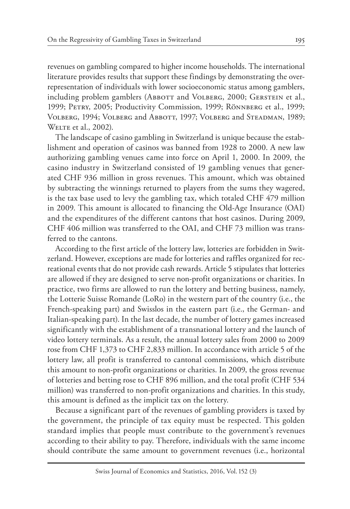revenues on gambling compared to higher income households. The international literature provides results that support these findings by demonstrating the overrepresentation of individuals with lower socioeconomic status among gamblers, including problem gamblers (ABBOTT and VOLBERG, 2000; GERSTEIN et al., 1999; Petry, 2005; Productivity Commission, 1999; Rönnberg et al., 1999; Volberg, 1994; Volberg and Abbott, 1997; Volberg and Steadman, 1989; WELTE et al., 2002).

The landscape of casino gambling in Switzerland is unique because the establishment and operation of casinos was banned from 1928 to 2000. A new law authorizing gambling venues came into force on April 1, 2000. In 2009, the casino industry in Switzerland consisted of 19 gambling venues that generated CHF 936 million in gross revenues. This amount, which was obtained by subtracting the winnings returned to players from the sums they wagered, is the tax base used to levy the gambling tax, which totaled CHF 479 million in 2009. This amount is allocated to financing the Old-Age Insurance (OAI) and the expenditures of the different cantons that host casinos. During 2009, CHF 406 million was transferred to the OAI, and CHF 73 million was transferred to the cantons.

According to the first article of the lottery law, lotteries are forbidden in Switzerland. However, exceptions are made for lotteries and raffles organized for recreational events that do not provide cash rewards. Article 5 stipulates that lotteries are allowed if they are designed to serve non-profit organizations or charities. In practice, two firms are allowed to run the lottery and betting business, namely, the Lotterie Suisse Romande (LoRo) in the western part of the country (i.e., the French-speaking part) and Swisslos in the eastern part (i.e., the German- and Italian-speaking part). In the last decade, the number of lottery games increased significantly with the establishment of a transnational lottery and the launch of video lottery terminals. As a result, the annual lottery sales from 2000 to 2009 rose from CHF 1,373 to CHF 2,833 million. In accordance with article 5 of the lottery law, all profit is transferred to cantonal commissions, which distribute this amount to non-profit organizations or charities. In 2009, the gross revenue of lotteries and betting rose to CHF 896 million, and the total profit (CHF 534 million) was transferred to non-profit organizations and charities. In this study, this amount is defined as the implicit tax on the lottery.

Because a significant part of the revenues of gambling providers is taxed by the government, the principle of tax equity must be respected. This golden standard implies that people must contribute to the government's revenues according to their ability to pay. Therefore, individuals with the same income should contribute the same amount to government revenues (i.e., horizontal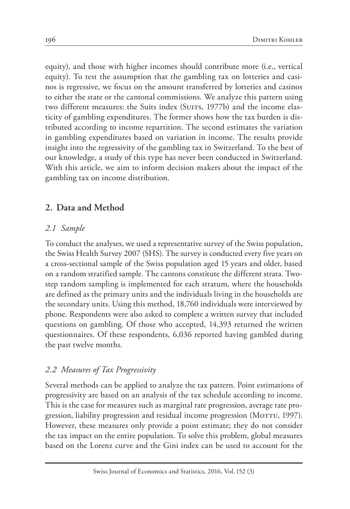equity), and those with higher incomes should contribute more (i.e., vertical equity). To test the assumption that the gambling tax on lotteries and casinos is regressive, we focus on the amount transferred by lotteries and casinos to either the state or the cantonal commissions. We analyze this pattern using two different measures: the Suits index (SUITS, 1977b) and the income elasticity of gambling expenditures. The former shows how the tax burden is distributed according to income repartition. The second estimates the variation in gambling expenditures based on variation in income. The results provide insight into the regressivity of the gambling tax in Switzerland. To the best of our knowledge, a study of this type has never been conducted in Switzerland. With this article, we aim to inform decision makers about the impact of the gambling tax on income distribution.

# **2. Data and Method**

## *2.1 Sample*

To conduct the analyses, we used a representative survey of the Swiss population, the Swiss Health Survey 2007 (SHS). The survey is conducted every five years on a cross-sectional sample of the Swiss population aged 15 years and older, based on a random stratified sample. The cantons constitute the different strata. Twostep random sampling is implemented for each stratum, where the households are defined as the primary units and the individuals living in the households are the secondary units. Using this method, 18,760 individuals were interviewed by phone. Respondents were also asked to complete a written survey that included questions on gambling. Of those who accepted, 14,393 returned the written questionnaires. Of these respondents, 6,036 reported having gambled during the past twelve months.

## *2.2 Measures of Tax Progressivity*

Several methods can be applied to analyze the tax pattern. Point estimations of progressivity are based on an analysis of the tax schedule according to income. This is the case for measures such as marginal rate progression, average rate progression, liability progression and residual income progression (MOTTU, 1997). However, these measures only provide a point estimate; they do not consider the tax impact on the entire population. To solve this problem, global measures based on the Lorenz curve and the Gini index can be used to account for the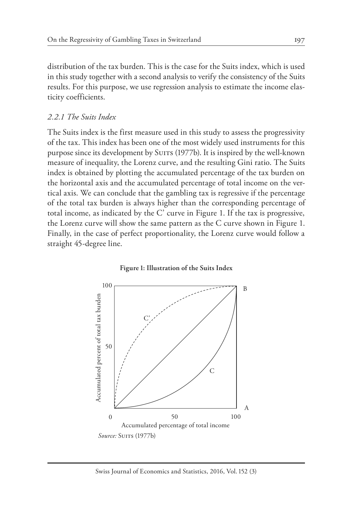distribution of the tax burden. This is the case for the Suits index, which is used in this study together with a second analysis to verify the consistency of the Suits results. For this purpose, we use regression analysis to estimate the income elasticity coefficients.

### *2.2.1 The Suits Index*

The Suits index is the first measure used in this study to assess the progressivity of the tax. This index has been one of the most widely used instruments for this purpose since its development by Suits (1977b). It is inspired by the well-known measure of inequality, the Lorenz curve, and the resulting Gini ratio. The Suits index is obtained by plotting the accumulated percentage of the tax burden on the horizontal axis and the accumulated percentage of total income on the vertical axis. We can conclude that the gambling tax is regressive if the percentage of the total tax burden is always higher than the corresponding percentage of total income, as indicated by the C' curve in Figure 1. If the tax is progressive, the Lorenz curve will show the same pattern as the C curve shown in Figure 1. Finally, in the case of perfect proportionality, the Lorenz curve would follow a straight 45-degree line.

#### **Figure : Illustration of the Suits Index**

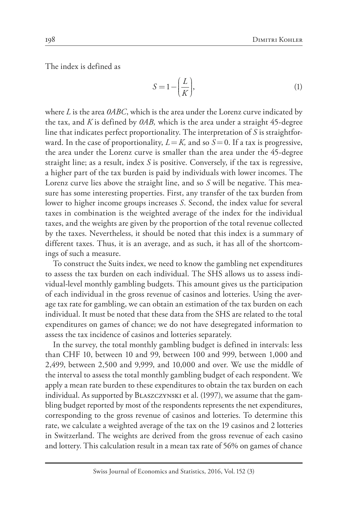The index is defined as

$$
S = 1 - \left(\frac{L}{K}\right),\tag{1}
$$

where *L* is the area *0ABC*, which is the area under the Lorenz curve indicated by the tax, and *K* is defined by *0AB,* which is the area under a straight 45-degree line that indicates perfect proportionality. The interpretation of *S* is straightforward. In the case of proportionality,  $L = K$ , and so  $S = 0$ . If a tax is progressive, the area under the Lorenz curve is smaller than the area under the 45-degree straight line; as a result, index *S* is positive. Conversely, if the tax is regressive, a higher part of the tax burden is paid by individuals with lower incomes. The Lorenz curve lies above the straight line, and so *S* will be negative. This measure has some interesting properties. First, any transfer of the tax burden from lower to higher income groups increases *S*. Second, the index value for several taxes in combination is the weighted average of the index for the individual taxes, and the weights are given by the proportion of the total revenue collected by the taxes. Nevertheless, it should be noted that this index is a summary of different taxes. Thus, it is an average, and as such, it has all of the shortcomings of such a measure.

To construct the Suits index, we need to know the gambling net expenditures to assess the tax burden on each individual. The SHS allows us to assess individual-level monthly gambling budgets. This amount gives us the participation of each individual in the gross revenue of casinos and lotteries. Using the average tax rate for gambling, we can obtain an estimation of the tax burden on each individual. It must be noted that these data from the SHS are related to the total expenditures on games of chance; we do not have desegregated information to assess the tax incidence of casinos and lotteries separately.

In the survey, the total monthly gambling budget is defined in intervals: less than CHF 10, between 10 and 99, between 100 and 999, between 1,000 and 2,499, between 2,500 and 9,999, and 10,000 and over. We use the middle of the interval to assess the total monthly gambling budget of each respondent. We apply a mean rate burden to these expenditures to obtain the tax burden on each individual. As supported by Blaszczynski et al. (1997), we assume that the gambling budget reported by most of the respondents represents the net expenditures, corresponding to the gross revenue of casinos and lotteries. To determine this rate, we calculate a weighted average of the tax on the 19 casinos and 2 lotteries in Switzerland. The weights are derived from the gross revenue of each casino and lottery. This calculation result in a mean tax rate of 56% on games of chance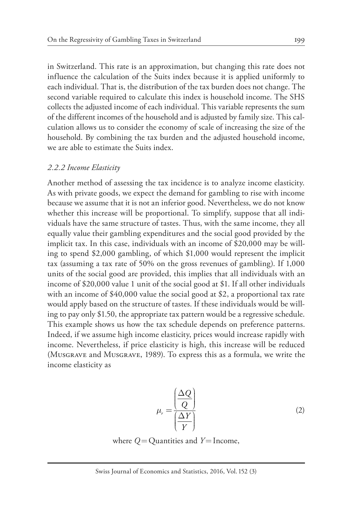in Switzerland. This rate is an approximation, but changing this rate does not influence the calculation of the Suits index because it is applied uniformly to each individual. That is, the distribution of the tax burden does not change. The second variable required to calculate this index is household income. The SHS collects the adjusted income of each individual. This variable represents the sum of the different incomes of the household and is adjusted by family size. This calculation allows us to consider the economy of scale of increasing the size of the household. By combining the tax burden and the adjusted household income, we are able to estimate the Suits index.

#### *2.2.2 Income Elasticity*

Another method of assessing the tax incidence is to analyze income elasticity. As with private goods, we expect the demand for gambling to rise with income because we assume that it is not an inferior good. Nevertheless, we do not know whether this increase will be proportional. To simplify, suppose that all individuals have the same structure of tastes. Thus, with the same income, they all equally value their gambling expenditures and the social good provided by the implicit tax. In this case, individuals with an income of \$20,000 may be willing to spend \$2,000 gambling, of which \$1,000 would represent the implicit tax (assuming a tax rate of 50% on the gross revenues of gambling). If 1,000 units of the social good are provided, this implies that all individuals with an income of \$20,000 value 1 unit of the social good at \$1. If all other individuals with an income of \$40,000 value the social good at \$2, a proportional tax rate would apply based on the structure of tastes. If these individuals would be willing to pay only \$1.50, the appropriate tax pattern would be a regressive schedule. This example shows us how the tax schedule depends on preference patterns. Indeed, if we assume high income elasticity, prices would increase rapidly with income. Nevertheless, if price elasticity is high, this increase will be reduced (Musgrave and Musgrave, 1989). To express this as a formula, we write the income elasticity as

$$
\mu_r = \frac{\left(\frac{\Delta Q}{Q}\right)}{\left(\frac{\Delta Y}{Y}\right)}\tag{2}
$$

where 
$$
Q =
$$
 Quantities and  $Y =$  Income,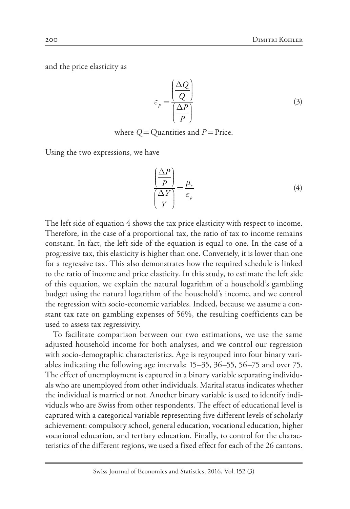and the price elasticity as

$$
\varepsilon_{p} = \frac{\left(\frac{\Delta Q}{Q}\right)}{\left(\frac{\Delta P}{P}\right)}
$$
\n(3)

where  $Q =$  Quantities and  $P =$  Price.

Using the two expressions, we have

$$
\frac{\left(\frac{\Delta P}{P}\right)}{\left(\frac{\Delta Y}{Y}\right)} = \frac{\mu_r}{\varepsilon_p} \tag{4}
$$

The left side of equation 4 shows the tax price elasticity with respect to income. Therefore, in the case of a proportional tax, the ratio of tax to income remains constant. In fact, the left side of the equation is equal to one. In the case of a progressive tax, this elasticity is higher than one. Conversely, it is lower than one for a regressive tax. This also demonstrates how the required schedule is linked to the ratio of income and price elasticity. In this study, to estimate the left side of this equation, we explain the natural logarithm of a household's gambling budget using the natural logarithm of the household's income, and we control the regression with socio-economic variables. Indeed, because we assume a constant tax rate on gambling expenses of 56%, the resulting coefficients can be used to assess tax regressivity.

To facilitate comparison between our two estimations, we use the same adjusted household income for both analyses, and we control our regression with socio-demographic characteristics. Age is regrouped into four binary variables indicating the following age intervals: 15–35, 36–55, 56–75 and over 75. The effect of unemployment is captured in a binary variable separating individuals who are unemployed from other individuals. Marital status indicates whether the individual is married or not. Another binary variable is used to identify individuals who are Swiss from other respondents. The effect of educational level is captured with a categorical variable representing five different levels of scholarly achievement: compulsory school, general education, vocational education, higher vocational education, and tertiary education. Finally, to control for the characteristics of the different regions, we used a fixed effect for each of the 26 cantons.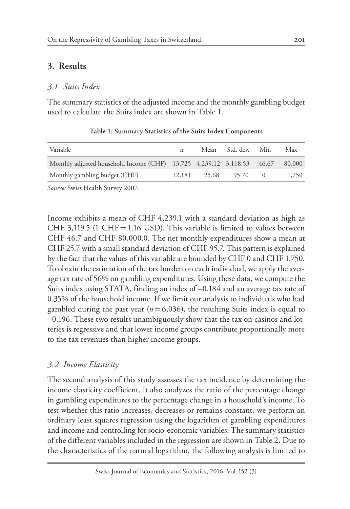# **3. Results**

### *3.1 Suits Index*

The summary statistics of the adjusted income and the monthly gambling budget used to calculate the Suits index are shown in Table 1.

| Variable                                                               | n |                    | Mean Std. dev. | Min | Max    |
|------------------------------------------------------------------------|---|--------------------|----------------|-----|--------|
| Monthly adjusted household Income (CHF) 13,725 4,239.12 3,118.53 46.67 |   |                    |                |     | 80,000 |
| Monthly gambling budget (CHF)                                          |   | 12,181 25.68 95.70 |                |     | 1.750  |

**Table 1: Summary Statistics of the Suits Index Components**

*Source:* Swiss Health Survey 2007.

Income exhibits a mean of CHF 4,239.1 with a standard deviation as high as CHF 3,119.5 (1 CHF = 1.16 USD). This variable is limited to values between CHF 46.7 and CHF 80,000.0. The net monthly expenditures show a mean at CHF 25.7 with a small standard deviation of CHF 95.7. This pattern is explained by the fact that the values of this variable are bounded by CHF 0 and CHF 1,750. To obtain the estimation of the tax burden on each individual, we apply the average tax rate of 56% on gambling expenditures. Using these data, we compute the Suits index using STATA, finding an index of –0.184 and an average tax rate of 0.35% of the household income. If we limit our analysis to individuals who had gambled during the past year ( $n = 6,036$ ), the resulting Suits index is equal to –0.196. These two results unambiguously show that the tax on casinos and lotteries is regressive and that lower income groups contribute proportionally more to the tax revenues than higher income groups.

## *3.2 Income Elasticity*

The second analysis of this study assesses the tax incidence by determining the income elasticity coefficient. It also analyzes the ratio of the percentage change in gambling expenditures to the percentage change in a household's income. To test whether this ratio increases, decreases or remains constant, we perform an ordinary least squares regression using the logarithm of gambling expenditures and income and controlling for socio-economic variables. The summary statistics of the different variables included in the regression are shown in Table 2. Due to the characteristics of the natural logarithm, the following analysis is limited to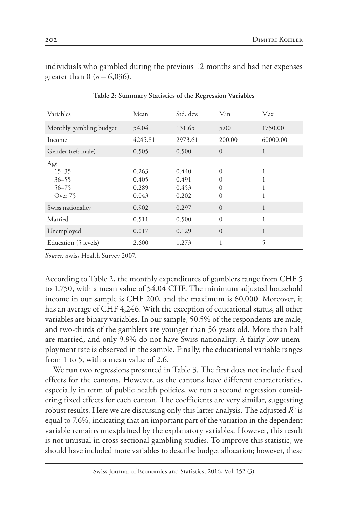individuals who gambled during the previous 12 months and had net expenses greater than  $0$  ( $n = 6,036$ ).

| Variables                                             | Mean                             | Std. dev.                        | Min                                   | Max      |
|-------------------------------------------------------|----------------------------------|----------------------------------|---------------------------------------|----------|
| Monthly gambling budget                               | 54.04                            | 131.65                           | 5.00                                  | 1750.00  |
| Income                                                | 4245.81                          | 2973.61                          | 200.00                                | 60000.00 |
| Gender (ref: male)                                    | 0.505                            | 0.500                            | $\Omega$                              | 1        |
| Age<br>$15 - 35$<br>$36 - 55$<br>$56 - 75$<br>Over 75 | 0.263<br>0.405<br>0.289<br>0.043 | 0.440<br>0.491<br>0.453<br>0.202 | $\Omega$<br>0<br>$\Omega$<br>$\theta$ |          |
| Swiss nationality                                     | 0.902                            | 0.297                            | $\Omega$                              | 1        |
| Married                                               | 0.511                            | 0.500                            | $\theta$                              | 1        |
| Unemployed                                            | 0.017                            | 0.129                            | $\Omega$                              | 1        |
| Education (5 levels)                                  | 2.600                            | 1.273                            | 1                                     | 5        |

**Table 2: Summary Statistics of the Regression Variables**

*Source:* Swiss Health Survey 2007.

According to Table 2, the monthly expenditures of gamblers range from CHF 5 to 1,750, with a mean value of 54.04 CHF. The minimum adjusted household income in our sample is CHF 200, and the maximum is 60,000. Moreover, it has an average of CHF 4,246. With the exception of educational status, all other variables are binary variables. In our sample, 50.5% of the respondents are male, and two-thirds of the gamblers are younger than 56 years old. More than half are married, and only 9.8% do not have Swiss nationality. A fairly low unemployment rate is observed in the sample. Finally, the educational variable ranges from 1 to 5, with a mean value of 2.6.

We run two regressions presented in Table 3. The first does not include fixed effects for the cantons. However, as the cantons have different characteristics, especially in term of public health policies, we run a second regression considering fixed effects for each canton. The coefficients are very similar, suggesting robust results. Here we are discussing only this latter analysis. The adjusted  $R^2$  is equal to 7.6%, indicating that an important part of the variation in the dependent variable remains unexplained by the explanatory variables. However, this result is not unusual in cross-sectional gambling studies. To improve this statistic, we should have included more variables to describe budget allocation; however, these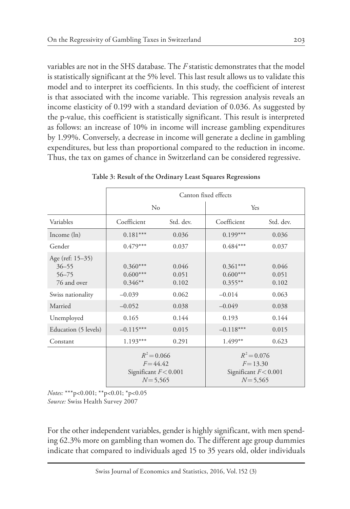variables are not in the SHS database. The *F* statistic demonstrates that the model is statistically significant at the 5% level. This last result allows us to validate this model and to interpret its coefficients. In this study, the coefficient of interest is that associated with the income variable. This regression analysis reveals an income elasticity of 0.199 with a standard deviation of 0.036. As suggested by the p-value, this coefficient is statistically significant. This result is interpreted as follows: an increase of 10% in income will increase gambling expenditures by 1.99%. Conversely, a decrease in income will generate a decline in gambling expenditures, but less than proportional compared to the reduction in income. Thus, the tax on games of chance in Switzerland can be considered regressive.

|                                                           | Canton fixed effects                                                   |                         |                                                                        |                         |  |
|-----------------------------------------------------------|------------------------------------------------------------------------|-------------------------|------------------------------------------------------------------------|-------------------------|--|
|                                                           | $\rm No$                                                               |                         | Yes                                                                    |                         |  |
| Variables                                                 | Coefficient                                                            | Std. dev.               | Coefficient                                                            | Std. dev.               |  |
| Income $(ln)$                                             | $0.181***$                                                             | 0.036                   | $0.199***$                                                             | 0.036                   |  |
| Gender                                                    | $0.479***$                                                             | 0.037                   | $0.484***$                                                             | 0.037                   |  |
| Age (ref: 15–35)<br>$36 - 55$<br>$56 - 75$<br>76 and over | $0.360***$<br>$0.600***$<br>$0.346**$                                  | 0.046<br>0.051<br>0.102 | $0.361***$<br>$0.600***$<br>$0.355**$                                  | 0.046<br>0.051<br>0.102 |  |
| Swiss nationality                                         | $-0.039$                                                               | 0.062                   | $-0.014$                                                               | 0.063                   |  |
| Married                                                   | $-0.052$                                                               | 0.038                   | $-0.049$                                                               | 0.038                   |  |
| Unemployed                                                | 0.165                                                                  | 0.144                   | 0.193                                                                  | 0.144                   |  |
| Education (5 levels)                                      | $-0.115***$                                                            | 0.015                   | $-0.118***$                                                            | 0.015                   |  |
| Constant                                                  | $1.193***$                                                             | 0.291                   | $1.499**$                                                              | 0.623                   |  |
|                                                           | $R^2 = 0.066$<br>$F = 44.42$<br>Significant $F < 0.001$<br>$N = 5,565$ |                         | $R^2 = 0.076$<br>$F = 13.30$<br>Significant $F < 0.001$<br>$N = 5,565$ |                         |  |

**Table 3: Result of the Ordinary Least Squares Regressions**

*Notes:* \*\*\*p<0.001; \*\*p<0.01; \*p<0.05 *Source:* Swiss Health Survey 2007

For the other independent variables, gender is highly significant, with men spending 62.3% more on gambling than women do. The different age group dummies indicate that compared to individuals aged 15 to 35 years old, older individuals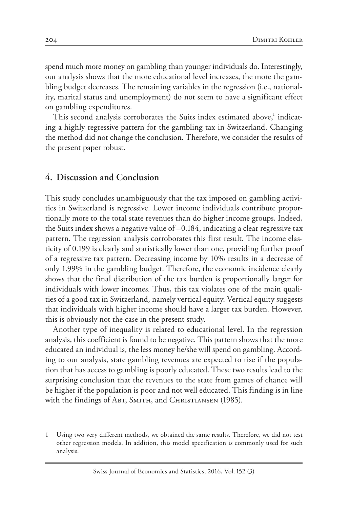spend much more money on gambling than younger individuals do. Interestingly, our analysis shows that the more educational level increases, the more the gambling budget decreases. The remaining variables in the regression (i.e., nationality, marital status and unemployment) do not seem to have a significant effect on gambling expenditures.

This second analysis corroborates the Suits index estimated above,<sup>1</sup> indicating a highly regressive pattern for the gambling tax in Switzerland. Changing the method did not change the conclusion. Therefore, we consider the results of the present paper robust.

#### **4. Discussion and Conclusion**

This study concludes unambiguously that the tax imposed on gambling activities in Switzerland is regressive. Lower income individuals contribute proportionally more to the total state revenues than do higher income groups. Indeed, the Suits index shows a negative value of –0.184, indicating a clear regressive tax pattern. The regression analysis corroborates this first result. The income elasticity of 0.199 is clearly and statistically lower than one, providing further proof of a regressive tax pattern. Decreasing income by 10% results in a decrease of only 1.99% in the gambling budget. Therefore, the economic incidence clearly shows that the final distribution of the tax burden is proportionally larger for individuals with lower incomes. Thus, this tax violates one of the main qualities of a good tax in Switzerland, namely vertical equity. Vertical equity suggests that individuals with higher income should have a larger tax burden. However, this is obviously not the case in the present study.

Another type of inequality is related to educational level. In the regression analysis, this coefficient is found to be negative. This pattern shows that the more educated an individual is, the less money he/she will spend on gambling. According to our analysis, state gambling revenues are expected to rise if the population that has access to gambling is poorly educated. These two results lead to the surprising conclusion that the revenues to the state from games of chance will be higher if the population is poor and not well educated. This finding is in line with the findings of ABT, SMITH, and CHRISTIANSEN (1985).

<sup>1</sup> Using two very different methods, we obtained the same results. Therefore, we did not test other regression models. In addition, this model specification is commonly used for such analysis.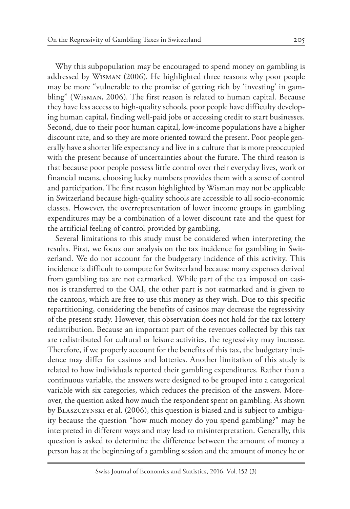Why this subpopulation may be encouraged to spend money on gambling is addressed by Wisman (2006). He highlighted three reasons why poor people may be more "vulnerable to the promise of getting rich by 'investing' in gambling" (Wisman, 2006). The first reason is related to human capital. Because they have less access to high-quality schools, poor people have difficulty developing human capital, finding well-paid jobs or accessing credit to start businesses. Second, due to their poor human capital, low-income populations have a higher discount rate, and so they are more oriented toward the present. Poor people generally have a shorter life expectancy and live in a culture that is more preoccupied with the present because of uncertainties about the future. The third reason is that because poor people possess little control over their everyday lives, work or financial means, choosing lucky numbers provides them with a sense of control and participation. The first reason highlighted by Wisman may not be applicable in Switzerland because high-quality schools are accessible to all socio-economic classes. However, the overrepresentation of lower income groups in gambling expenditures may be a combination of a lower discount rate and the quest for the artificial feeling of control provided by gambling.

Several limitations to this study must be considered when interpreting the results. First, we focus our analysis on the tax incidence for gambling in Switzerland. We do not account for the budgetary incidence of this activity. This incidence is difficult to compute for Switzerland because many expenses derived from gambling tax are not earmarked. While part of the tax imposed on casinos is transferred to the OAI, the other part is not earmarked and is given to the cantons, which are free to use this money as they wish. Due to this specific repartitioning, considering the benefits of casinos may decrease the regressivity of the present study. However, this observation does not hold for the tax lottery redistribution. Because an important part of the revenues collected by this tax are redistributed for cultural or leisure activities, the regressivity may increase. Therefore, if we properly account for the benefits of this tax, the budgetary incidence may differ for casinos and lotteries. Another limitation of this study is related to how individuals reported their gambling expenditures. Rather than a continuous variable, the answers were designed to be grouped into a categorical variable with six categories, which reduces the precision of the answers. Moreover, the question asked how much the respondent spent on gambling. As shown by Blaszczynski et al. (2006), this question is biased and is subject to ambiguity because the question "how much money do you spend gambling?" may be interpreted in different ways and may lead to misinterpretation. Generally, this question is asked to determine the difference between the amount of money a person has at the beginning of a gambling session and the amount of money he or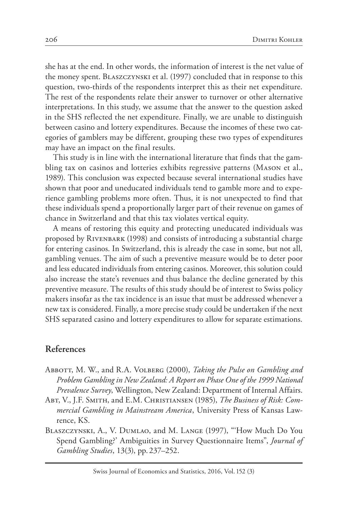she has at the end. In other words, the information of interest is the net value of the money spent. Blaszczynski et al. (1997) concluded that in response to this question, two-thirds of the respondents interpret this as their net expenditure. The rest of the respondents relate their answer to turnover or other alternative interpretations. In this study, we assume that the answer to the question asked in the SHS reflected the net expenditure. Finally, we are unable to distinguish between casino and lottery expenditures. Because the incomes of these two categories of gamblers may be different, grouping these two types of expenditures may have an impact on the final results.

This study is in line with the international literature that finds that the gambling tax on casinos and lotteries exhibits regressive patterns (Mason et al., 1989). This conclusion was expected because several international studies have shown that poor and uneducated individuals tend to gamble more and to experience gambling problems more often. Thus, it is not unexpected to find that these individuals spend a proportionally larger part of their revenue on games of chance in Switzerland and that this tax violates vertical equity.

A means of restoring this equity and protecting uneducated individuals was proposed by Rivenbark (1998) and consists of introducing a substantial charge for entering casinos. In Switzerland, this is already the case in some, but not all, gambling venues. The aim of such a preventive measure would be to deter poor and less educated individuals from entering casinos. Moreover, this solution could also increase the state's revenues and thus balance the decline generated by this preventive measure. The results of this study should be of interest to Swiss policy makers insofar as the tax incidence is an issue that must be addressed whenever a new tax is considered. Finally, a more precise study could be undertaken if the next SHS separated casino and lottery expenditures to allow for separate estimations.

## **References**

- Abbott, M. W., and R.A. Volberg (2000), *Taking the Pulse on Gambling and Problem Gambling in New Zealand: A Report on Phase One of the 1999 National Prevalence Survey*, Wellington, New Zealand: Department of Internal Affairs.
- Abt, V., J.F. Smith, and E.M. Christiansen (1985), *The Business of Risk: Commercial Gambling in Mainstream America*, University Press of Kansas Lawrence, KS.
- Blaszczynski, A., V. Dumlao, and M. Lange (1997), "'How Much Do You Spend Gambling?' Ambiguities in Survey Questionnaire Items", *Journal of Gambling Studies*, 13(3), pp. 237–252.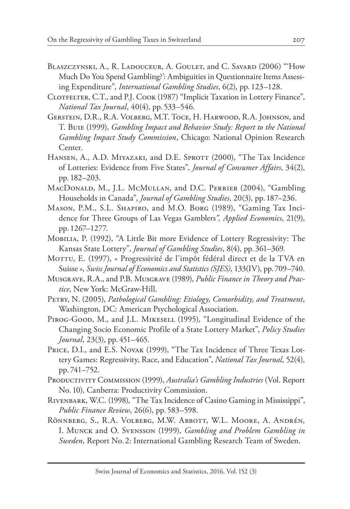- BLASZCZYNSKI, A., R. LADOUCEUR, A. GOULET, and C. SAVARD (2006) "How Much Do You Spend Gambling?': Ambiguities in Questionnaire Items Assessing Expenditure", *International Gambling Studies*, 6(2), pp. 123–128.
- CLOTFELTER, C.T., and P.J. COOK (1987) "Implicit Taxation in Lottery Finance", *National Tax Journal*, 40(4), pp. 533–546.
- Gerstein, D.R., R.A. Volberg, M.T. Toce, H. Harwood, R.A. Johnson, and T. Buie (1999), *Gambling Impact and Behavior Study: Report to the National Gambling Impact Study Commission*, Chicago: National Opinion Research Center.
- HANSEN, A., A.D. MIYAZAKI, and D.E. SPROTT (2000), "The Tax Incidence of Lotteries: Evidence from Five States", *Journal of Consumer Affairs*, 34(2), pp. 182–203.
- MacDonald, M., J.L. McMullan, and D.C. Perrier (2004), "Gambling Households in Canada", *Journal of Gambling Studies*, 20(3), pp. 187–236.
- Mason, P.M., S.L. Shapiro, and M.O. Borg (1989), "Gaming Tax Incidence for Three Groups of Las Vegas Gamblers*", Applied Economics*, 21(9), pp. 1267–1277.
- Mobilia, P. (1992), "A Little Bit more Evidence of Lottery Regressivity: The Kansas State Lottery", *Journal of Gambling Studies*, 8(4), pp. 361–369.
- Mottu, E. (1997), « Progressivité de l'impôt fédéral direct et de la TVA en Suisse », *Swiss Journal of Economics and Statistics (SJES)*, 133(IV), pp. 709–740.
- Musgrave, R.A., and P.B. Musgrave (1989), *Public Finance in Theory and Practice*, New York: McGraw-Hill.
- Petry, N. (2005), *Pathological Gambling: Etiology, Comorbidity, and Treatment*, Washington, DC: American Psychological Association.
- Pirog-Good, M., and J.L. Mikesell (1995), "Longitudinal Evidence of the Changing Socio Economic Profile of a State Lottery Market", *Policy Studies Journal*, 23(3), pp. 451–465.
- PRICE, D.I., and E.S. Novak (1999), "The Tax Incidence of Three Texas Lottery Games: Regressivity, Race, and Education", *National Tax Journal*, 52(4), pp. 741–752.
- Productivity Commission (1999), *Australia's Gambling Industries* (Vol. Report No. 10), Canberra: Productivity Commission.
- Rivenbark, W.C. (1998), "The Tax Incidence of Casino Gaming in Mississippi", *Public Finance Review*, 26(6), pp. 583–598.
- Rönnberg, S., R.A. Volberg, M.W. Abbott, W.L. Moore, A. Andrén, I. Munck and O. Svensson (1999), *Gambling and Problem Gambling in Sweden*, Report No. 2: International Gambling Research Team of Sweden.